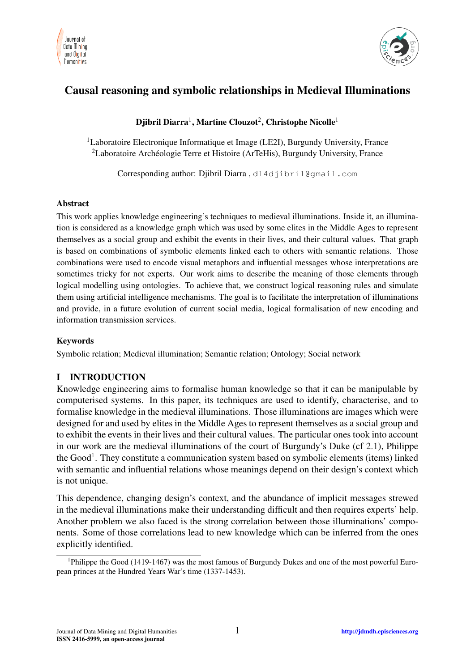



# Causal reasoning and symbolic relationships in Medieval Illuminations

## Djibril Diarra $^1$ , Martine Clouzot $^2$ , Christophe Nicolle $^1$

<sup>1</sup>Laboratoire Electronique Informatique et Image (LE2I), Burgundy University, France <sup>2</sup>Laboratoire Archéologie Terre et Histoire (ArTeHis), Burgundy University, France

Corresponding author: Djibril Diarra , dl4djibril@gmail.com

#### Abstract

This work applies knowledge engineering's techniques to medieval illuminations. Inside it, an illumination is considered as a knowledge graph which was used by some elites in the Middle Ages to represent themselves as a social group and exhibit the events in their lives, and their cultural values. That graph is based on combinations of symbolic elements linked each to others with semantic relations. Those combinations were used to encode visual metaphors and influential messages whose interpretations are sometimes tricky for not experts. Our work aims to describe the meaning of those elements through logical modelling using ontologies. To achieve that, we construct logical reasoning rules and simulate them using artificial intelligence mechanisms. The goal is to facilitate the interpretation of illuminations and provide, in a future evolution of current social media, logical formalisation of new encoding and information transmission services.

#### Keywords

Symbolic relation; Medieval illumination; Semantic relation; Ontology; Social network

## I INTRODUCTION

Knowledge engineering aims to formalise human knowledge so that it can be manipulable by computerised systems. In this paper, its techniques are used to identify, characterise, and to formalise knowledge in the medieval illuminations. Those illuminations are images which were designed for and used by elites in the Middle Ages to represent themselves as a social group and to exhibit the events in their lives and their cultural values. The particular ones took into account in our work are the medieval illuminations of the court of Burgundy's Duke (cf [2.1\)](#page-2-0), Philippe the Good<sup>[1](#page-0-0)</sup>. They constitute a communication system based on symbolic elements (items) linked with semantic and influential relations whose meanings depend on their design's context which is not unique.

This dependence, changing design's context, and the abundance of implicit messages strewed in the medieval illuminations make their understanding difficult and then requires experts' help. Another problem we also faced is the strong correlation between those illuminations' components. Some of those correlations lead to new knowledge which can be inferred from the ones explicitly identified.

<span id="page-0-0"></span><sup>&</sup>lt;sup>1</sup>Philippe the Good (1419-1467) was the most famous of Burgundy Dukes and one of the most powerful European princes at the Hundred Years War's time (1337-1453).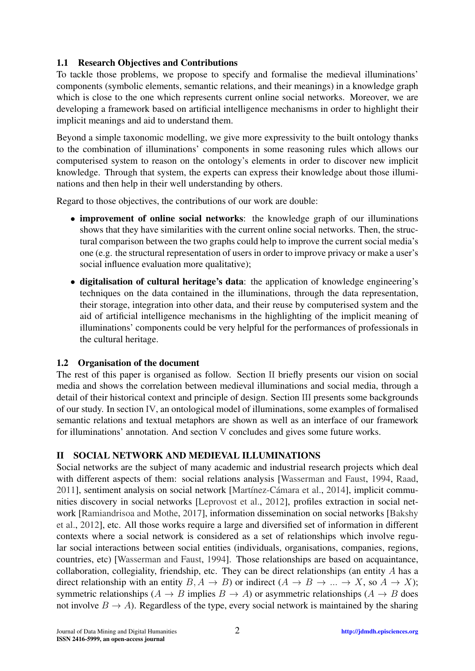## 1.1 Research Objectives and Contributions

To tackle those problems, we propose to specify and formalise the medieval illuminations' components (symbolic elements, semantic relations, and their meanings) in a knowledge graph which is close to the one which represents current online social networks. Moreover, we are developing a framework based on artificial intelligence mechanisms in order to highlight their implicit meanings and aid to understand them.

Beyond a simple taxonomic modelling, we give more expressivity to the built ontology thanks to the combination of illuminations' components in some reasoning rules which allows our computerised system to reason on the ontology's elements in order to discover new implicit knowledge. Through that system, the experts can express their knowledge about those illuminations and then help in their well understanding by others.

Regard to those objectives, the contributions of our work are double:

- improvement of online social networks: the knowledge graph of our illuminations shows that they have similarities with the current online social networks. Then, the structural comparison between the two graphs could help to improve the current social media's one (e.g. the structural representation of users in order to improve privacy or make a user's social influence evaluation more qualitative);
- digitalisation of cultural heritage's data: the application of knowledge engineering's techniques on the data contained in the illuminations, through the data representation, their storage, integration into other data, and their reuse by computerised system and the aid of artificial intelligence mechanisms in the highlighting of the implicit meaning of illuminations' components could be very helpful for the performances of professionals in the cultural heritage.

### 1.2 Organisation of the document

The rest of this paper is organised as follow. Section [II](#page-1-0) briefly presents our vision on social media and shows the correlation between medieval illuminations and social media, through a detail of their historical context and principle of design. Section [III](#page-3-0) presents some backgrounds of our study. In section [IV,](#page-5-0) an ontological model of illuminations, some examples of formalised semantic relations and textual metaphors are shown as well as an interface of our framework for illuminations' annotation. And section [V](#page-10-0) concludes and gives some future works.

## <span id="page-1-0"></span>II SOCIAL NETWORK AND MEDIEVAL ILLUMINATIONS

Social networks are the subject of many academic and industrial research projects which deal with different aspects of them: social relations analysis [\[Wasserman and Faust,](#page-11-0) [1994,](#page-11-0) [Raad,](#page-11-1) [2011\]](#page-11-1), sentiment analysis on social network [\[Martínez-Cámara et al.,](#page-11-2) [2014\]](#page-11-2), implicit communities discovery in social networks [\[Leprovost et al.,](#page-11-3) [2012\]](#page-11-3), profiles extraction in social network [\[Ramiandrisoa and Mothe,](#page-11-4) [2017\]](#page-11-4), information dissemination on social networks [\[Bakshy](#page-10-1) [et al.,](#page-10-1) [2012\]](#page-10-1), etc. All those works require a large and diversified set of information in different contexts where a social network is considered as a set of relationships which involve regular social interactions between social entities (individuals, organisations, companies, regions, countries, etc) [\[Wasserman and Faust,](#page-11-0) [1994\]](#page-11-0). Those relationships are based on acquaintance, collaboration, collegiality, friendship, etc. They can be direct relationships (an entity  $A$  has a direct relationship with an entity  $B, A \rightarrow B$ ) or indirect  $(A \rightarrow B \rightarrow \dots \rightarrow X$ , so  $A \rightarrow X$ ); symmetric relationships  $(A \to B$  implies  $B \to A$ ) or asymmetric relationships  $(A \to B$  does not involve  $B \to A$ ). Regardless of the type, every social network is maintained by the sharing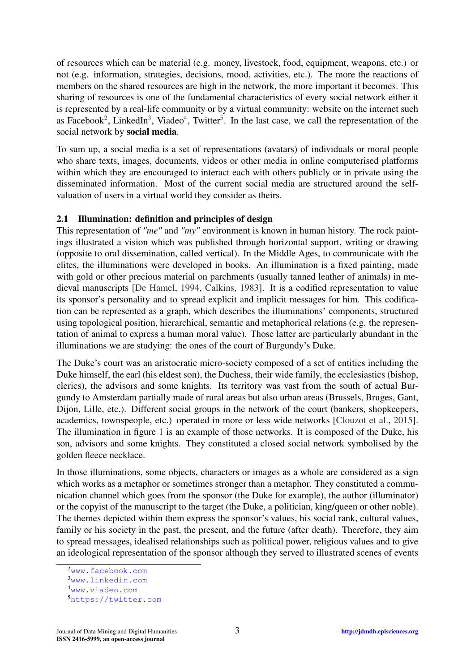of resources which can be material (e.g. money, livestock, food, equipment, weapons, etc.) or not (e.g. information, strategies, decisions, mood, activities, etc.). The more the reactions of members on the shared resources are high in the network, the more important it becomes. This sharing of resources is one of the fundamental characteristics of every social network either it is represented by a real-life community or by a virtual community: website on the internet such as Facebook<sup>[2](#page-2-1)</sup>, LinkedIn<sup>[3](#page-2-2)</sup>, Viadeo<sup>[4](#page-2-3)</sup>, Twitter<sup>[5](#page-2-4)</sup>. In the last case, we call the representation of the social network by social media.

To sum up, a social media is a set of representations (avatars) of individuals or moral people who share texts, images, documents, videos or other media in online computerised platforms within which they are encouraged to interact each with others publicly or in private using the disseminated information. Most of the current social media are structured around the selfvaluation of users in a virtual world they consider as theirs.

#### <span id="page-2-0"></span>2.1 Illumination: definition and principles of design

This representation of *"me"* and *"my"* environment is known in human history. The rock paintings illustrated a vision which was published through horizontal support, writing or drawing (opposite to oral dissemination, called vertical). In the Middle Ages, to communicate with the elites, the illuminations were developed in books. An illumination is a fixed painting, made with gold or other precious material on parchments (usually tanned leather of animals) in medieval manuscripts [\[De Hamel,](#page-10-2) [1994,](#page-10-2) [Calkins,](#page-10-3) [1983\]](#page-10-3). It is a codified representation to value its sponsor's personality and to spread explicit and implicit messages for him. This codification can be represented as a graph, which describes the illuminations' components, structured using topological position, hierarchical, semantic and metaphorical relations (e.g. the representation of animal to express a human moral value). Those latter are particularly abundant in the illuminations we are studying: the ones of the court of Burgundy's Duke.

The Duke's court was an aristocratic micro-society composed of a set of entities including the Duke himself, the earl (his eldest son), the Duchess, their wide family, the ecclesiastics (bishop, clerics), the advisors and some knights. Its territory was vast from the south of actual Burgundy to Amsterdam partially made of rural areas but also urban areas (Brussels, Bruges, Gant, Dijon, Lille, etc.). Different social groups in the network of the court (bankers, shopkeepers, academics, townspeople, etc.) operated in more or less wide networks [\[Clouzot et al.,](#page-10-4) [2015\]](#page-10-4). The illumination in figure [1](#page-3-1) is an example of those networks. It is composed of the Duke, his son, advisors and some knights. They constituted a closed social network symbolised by the golden fleece necklace.

In those illuminations, some objects, characters or images as a whole are considered as a sign which works as a metaphor or sometimes stronger than a metaphor. They constituted a communication channel which goes from the sponsor (the Duke for example), the author (illuminator) or the copyist of the manuscript to the target (the Duke, a politician, king/queen or other noble). The themes depicted within them express the sponsor's values, his social rank, cultural values, family or his society in the past, the present, and the future (after death). Therefore, they aim to spread messages, idealised relationships such as political power, religious values and to give an ideological representation of the sponsor although they served to illustrated scenes of events

<span id="page-2-1"></span><sup>2</sup><www.facebook.com>

<span id="page-2-2"></span><sup>3</sup><www.linkedin.com>

<span id="page-2-3"></span><sup>4</sup><www.viadeo.com>

<span id="page-2-4"></span><sup>5</sup><https://twitter.com>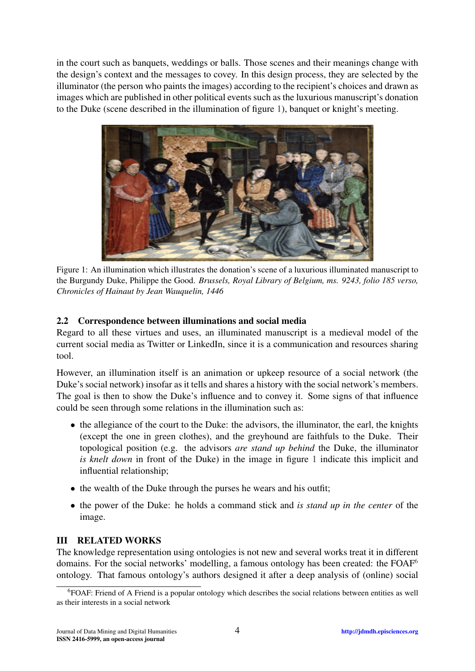in the court such as banquets, weddings or balls. Those scenes and their meanings change with the design's context and the messages to covey. In this design process, they are selected by the illuminator (the person who paints the images) according to the recipient's choices and drawn as images which are published in other political events such as the luxurious manuscript's donation to the Duke (scene described in the illumination of figure [1\)](#page-3-1), banquet or knight's meeting.

<span id="page-3-1"></span>

Figure 1: An illumination which illustrates the donation's scene of a luxurious illuminated manuscript to the Burgundy Duke, Philippe the Good. *Brussels, Royal Library of Belgium, ms. 9243, folio 185 verso, Chronicles of Hainaut by Jean Wauquelin, 1446*

### 2.2 Correspondence between illuminations and social media

Regard to all these virtues and uses, an illuminated manuscript is a medieval model of the current social media as Twitter or LinkedIn, since it is a communication and resources sharing tool.

However, an illumination itself is an animation or upkeep resource of a social network (the Duke's social network) insofar as it tells and shares a history with the social network's members. The goal is then to show the Duke's influence and to convey it. Some signs of that influence could be seen through some relations in the illumination such as:

- the allegiance of the court to the Duke: the advisors, the illuminator, the earl, the knights (except the one in green clothes), and the greyhound are faithfuls to the Duke. Their topological position (e.g. the advisors *are stand up behind* the Duke, the illuminator *is knelt down* in front of the Duke) in the image in figure [1](#page-3-1) indicate this implicit and influential relationship;
- the wealth of the Duke through the purses he wears and his outfit;
- the power of the Duke: he holds a command stick and *is stand up in the center* of the image.

### <span id="page-3-0"></span>III RELATED WORKS

The knowledge representation using ontologies is not new and several works treat it in different domains. For the social networks' modelling, a famous ontology has been created: the FOAF<sup>[6](#page-3-2)</sup> ontology. That famous ontology's authors designed it after a deep analysis of (online) social

<span id="page-3-2"></span><sup>6</sup>FOAF: Friend of A Friend is a popular ontology which describes the social relations between entities as well as their interests in a social network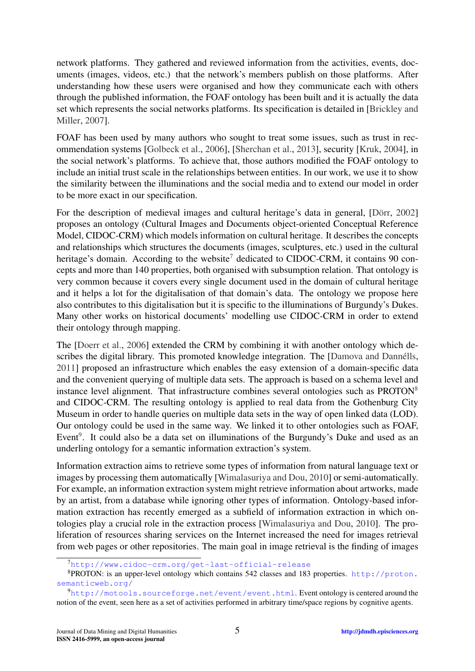network platforms. They gathered and reviewed information from the activities, events, documents (images, videos, etc.) that the network's members publish on those platforms. After understanding how these users were organised and how they communicate each with others through the published information, the FOAF ontology has been built and it is actually the data set which represents the social networks platforms. Its specification is detailed in [\[Brickley and](#page-10-5) [Miller,](#page-10-5) [2007\]](#page-10-5).

FOAF has been used by many authors who sought to treat some issues, such as trust in recommendation systems [\[Golbeck et al.,](#page-10-6) [2006\]](#page-10-6), [\[Sherchan et al.,](#page-11-5) [2013\]](#page-11-5), security [\[Kruk,](#page-11-6) [2004\]](#page-11-6), in the social network's platforms. To achieve that, those authors modified the FOAF ontology to include an initial trust scale in the relationships between entities. In our work, we use it to show the similarity between the illuminations and the social media and to extend our model in order to be more exact in our specification.

For the description of medieval images and cultural heritage's data in general, [\[Dörr,](#page-10-7) [2002\]](#page-10-7) proposes an ontology (Cultural Images and Documents object-oriented Conceptual Reference Model, CIDOC-CRM) which models information on cultural heritage. It describes the concepts and relationships which structures the documents (images, sculptures, etc.) used in the cultural heritage's domain. According to the website<sup>[7](#page-4-0)</sup> dedicated to CIDOC-CRM, it contains 90 concepts and more than 140 properties, both organised with subsumption relation. That ontology is very common because it covers every single document used in the domain of cultural heritage and it helps a lot for the digitalisation of that domain's data. The ontology we propose here also contributes to this digitalisation but it is specific to the illuminations of Burgundy's Dukes. Many other works on historical documents' modelling use CIDOC-CRM in order to extend their ontology through mapping.

The [\[Doerr et al.,](#page-10-8) [2006\]](#page-10-8) extended the CRM by combining it with another ontology which describes the digital library. This promoted knowledge integration. The [\[Damova and Dannélls,](#page-10-9) [2011\]](#page-10-9) proposed an infrastructure which enables the easy extension of a domain-specific data and the convenient querying of multiple data sets. The approach is based on a schema level and instance level alignment. That infrastructure combines several ontologies such as PROTON<sup>[8](#page-4-1)</sup> and CIDOC-CRM. The resulting ontology is applied to real data from the Gothenburg City Museum in order to handle queries on multiple data sets in the way of open linked data (LOD). Our ontology could be used in the same way. We linked it to other ontologies such as FOAF, Event<sup>[9](#page-4-2)</sup>. It could also be a data set on illuminations of the Burgundy's Duke and used as an underling ontology for a semantic information extraction's system.

Information extraction aims to retrieve some types of information from natural language text or images by processing them automatically [\[Wimalasuriya and Dou,](#page-11-7) [2010\]](#page-11-7) or semi-automatically. For example, an information extraction system might retrieve information about artworks, made by an artist, from a database while ignoring other types of information. Ontology-based information extraction has recently emerged as a subfield of information extraction in which ontologies play a crucial role in the extraction process [\[Wimalasuriya and Dou,](#page-11-7) [2010\]](#page-11-7). The proliferation of resources sharing services on the Internet increased the need for images retrieval from web pages or other repositories. The main goal in image retrieval is the finding of images

<span id="page-4-1"></span><span id="page-4-0"></span><sup>7</sup><http://www.cidoc-crm.org/get-last-official-release>

<sup>8</sup>PROTON: is an upper-level ontology which contains 542 classes and 183 properties. [http://proton.](http://proton.semanticweb.org/) [semanticweb.org/](http://proton.semanticweb.org/)

<span id="page-4-2"></span><sup>9</sup><http://motools.sourceforge.net/event/event.html>. Event ontology is centered around the notion of the event, seen here as a set of activities performed in arbitrary time/space regions by cognitive agents.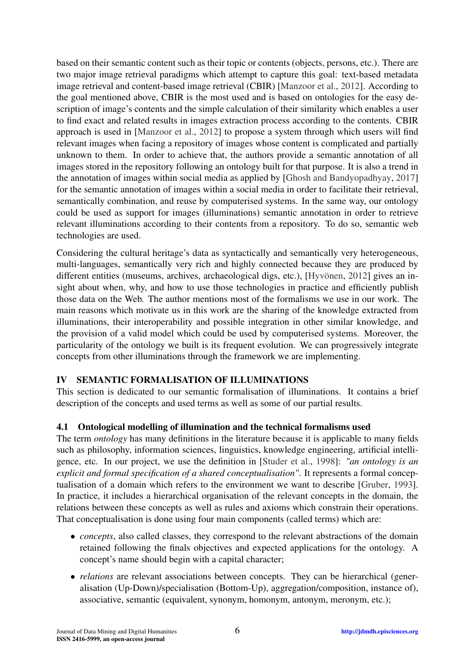based on their semantic content such as their topic or contents (objects, persons, etc.). There are two major image retrieval paradigms which attempt to capture this goal: text-based metadata image retrieval and content-based image retrieval (CBIR) [\[Manzoor et al.,](#page-11-8) [2012\]](#page-11-8). According to the goal mentioned above, CBIR is the most used and is based on ontologies for the easy description of image's contents and the simple calculation of their similarity which enables a user to find exact and related results in images extraction process according to the contents. CBIR approach is used in [\[Manzoor et al.,](#page-11-8) [2012\]](#page-11-8) to propose a system through which users will find relevant images when facing a repository of images whose content is complicated and partially unknown to them. In order to achieve that, the authors provide a semantic annotation of all images stored in the repository following an ontology built for that purpose. It is also a trend in the annotation of images within social media as applied by [\[Ghosh and Bandyopadhyay,](#page-10-10) [2017\]](#page-10-10) for the semantic annotation of images within a social media in order to facilitate their retrieval, semantically combination, and reuse by computerised systems. In the same way, our ontology could be used as support for images (illuminations) semantic annotation in order to retrieve relevant illuminations according to their contents from a repository. To do so, semantic web technologies are used.

Considering the cultural heritage's data as syntactically and semantically very heterogeneous, multi-languages, semantically very rich and highly connected because they are produced by different entities (museums, archives, archaeological digs, etc.), [\[Hyvönen,](#page-10-11) [2012\]](#page-10-11) gives an insight about when, why, and how to use those technologies in practice and efficiently publish those data on the Web. The author mentions most of the formalisms we use in our work. The main reasons which motivate us in this work are the sharing of the knowledge extracted from illuminations, their interoperability and possible integration in other similar knowledge, and the provision of a valid model which could be used by computerised systems. Moreover, the particularity of the ontology we built is its frequent evolution. We can progressively integrate concepts from other illuminations through the framework we are implementing.

### <span id="page-5-0"></span>IV SEMANTIC FORMALISATION OF ILLUMINATIONS

This section is dedicated to our semantic formalisation of illuminations. It contains a brief description of the concepts and used terms as well as some of our partial results.

## 4.1 Ontological modelling of illumination and the technical formalisms used

The term *ontology* has many definitions in the literature because it is applicable to many fields such as philosophy, information sciences, linguistics, knowledge engineering, artificial intelligence, etc. In our project, we use the definition in [\[Studer et al.,](#page-11-9) [1998\]](#page-11-9): *"an ontology is an explicit and formal specification of a shared conceptualisation"*. It represents a formal conceptualisation of a domain which refers to the environment we want to describe [\[Gruber,](#page-10-12) [1993\]](#page-10-12). In practice, it includes a hierarchical organisation of the relevant concepts in the domain, the relations between these concepts as well as rules and axioms which constrain their operations. That conceptualisation is done using four main components (called terms) which are:

- *concepts*, also called classes, they correspond to the relevant abstractions of the domain retained following the finals objectives and expected applications for the ontology. A concept's name should begin with a capital character;
- *relations* are relevant associations between concepts. They can be hierarchical (generalisation (Up-Down)/specialisation (Bottom-Up), aggregation/composition, instance of), associative, semantic (equivalent, synonym, homonym, antonym, meronym, etc.);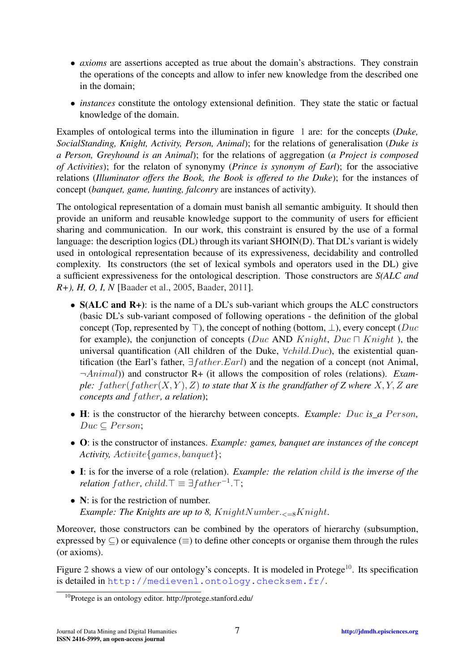- *axioms* are assertions accepted as true about the domain's abstractions. They constrain the operations of the concepts and allow to infer new knowledge from the described one in the domain;
- *instances* constitute the ontology extensional definition. They state the static or factual knowledge of the domain.

Examples of ontological terms into the illumination in figure [1](#page-3-1) are: for the concepts (*Duke, SocialStanding, Knight, Activity, Person, Animal*); for the relations of generalisation (*Duke is a Person, Greyhound is an Animal*); for the relations of aggregation (*a Project is composed of Activities*); for the relaton of synonymy (*Prince is synonym of Earl*); for the associative relations (*Illuminator offers the Book, the Book is offered to the Duke*); for the instances of concept (*banquet, game, hunting, falconry* are instances of activity).

The ontological representation of a domain must banish all semantic ambiguity. It should then provide an uniform and reusable knowledge support to the community of users for efficient sharing and communication. In our work, this constraint is ensured by the use of a formal language: the description logics (DL) through its variant SHOIN(D). That DL's variant is widely used in ontological representation because of its expressiveness, decidability and controlled complexity. Its constructors (the set of lexical symbols and operators used in the DL) give a sufficient expressiveness for the ontological description. Those constructors are *S(ALC and R+), H, O, I, N* [\[Baader et al.,](#page-10-13) [2005,](#page-10-13) [Baader,](#page-10-14) [2011\]](#page-10-14).

- S(ALC and R+): is the name of a DL's sub-variant which groups the ALC constructors (basic DL's sub-variant composed of following operations - the definition of the global concept (Top, represented by  $\top$ ), the concept of nothing (bottom,  $\bot$ ), every concept ( $Duc$ for example), the conjunction of concepts (Duc AND Knight, Duc  $\Box$  Knight), the universal quantification (All children of the Duke,  $\forall child.Duc$ ), the existential quantification (the Earl's father,  $\exists$  *f* ather,  $Earl$ ) and the negation of a concept (not Animal, ¬Animal)) and constructor R+ (it allows the composition of roles (relations). *Example:*  $father(father(X, Y), Z)$  *to state that* X *is the grandfather of* Z where  $X, Y, Z$  *are concepts and father, a relation*);
- H: is the constructor of the hierarchy between concepts. *Example: Duc is\_a Person*,  $Duc \subset Person;$
- O: is the constructor of instances. *Example: games, banquet are instances of the concept Activity,* Activite{games, banquet};
- I: is for the inverse of a role (relation). *Example: the relation* child *is the inverse of the relation*  $father$ ,  $child.\top \equiv \exists father^{-1}.\top;$
- N: is for the restriction of number. *Example: The Knights are up to 8, KnightNumber.*  $\epsilon_{-8}$ *Knight.*

Moreover, those constructors can be combined by the operators of hierarchy (subsumption, expressed by  $\subseteq$ ) or equivalence ( $\equiv$ ) to define other concepts or organise them through the rules (or axioms).

Figure [2](#page-7-0) shows a view of our ontology's concepts. It is modeled in Protege<sup>[10](#page-6-0)</sup>. Its specification is detailed in <http://medievenl.ontology.checksem.fr/>.

<span id="page-6-0"></span><sup>10</sup>Protege is an ontology editor. http://protege.stanford.edu/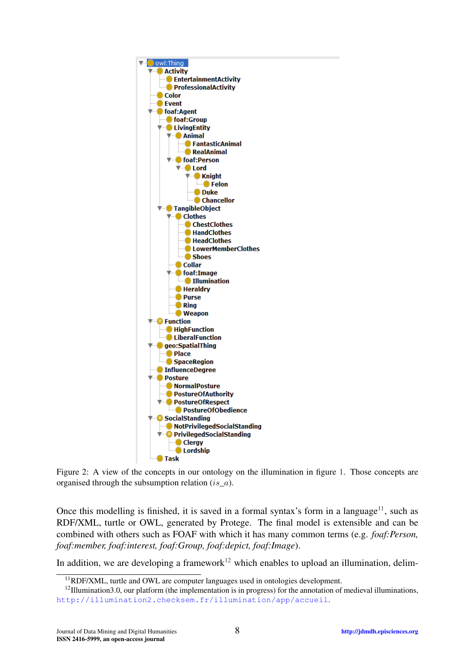<span id="page-7-0"></span>

Figure 2: A view of the concepts in our ontology on the illumination in figure [1.](#page-3-1) Those concepts are organised through the subsumption relation (is*\_*a).

Once this modelling is finished, it is saved in a formal syntax's form in a language<sup>[11](#page-7-1)</sup>, such as RDF/XML, turtle or OWL, generated by Protege. The final model is extensible and can be combined with others such as FOAF with which it has many common terms (e.g. *foaf:Person, foaf:member, foaf:interest, foaf:Group, foaf:depict, foaf:Image*).

In addition, we are developing a framework<sup>[12](#page-7-2)</sup> which enables to upload an illumination, delim-

<span id="page-7-2"></span><span id="page-7-1"></span><sup>&</sup>lt;sup>11</sup>RDF/XML, turtle and OWL are computer languages used in ontologies development.

 $12$ Illumination3.0, our platform (the implementation is in progress) for the annotation of medieval illuminations, <http://illumination2.checksem.fr/illumination/app/accueil>.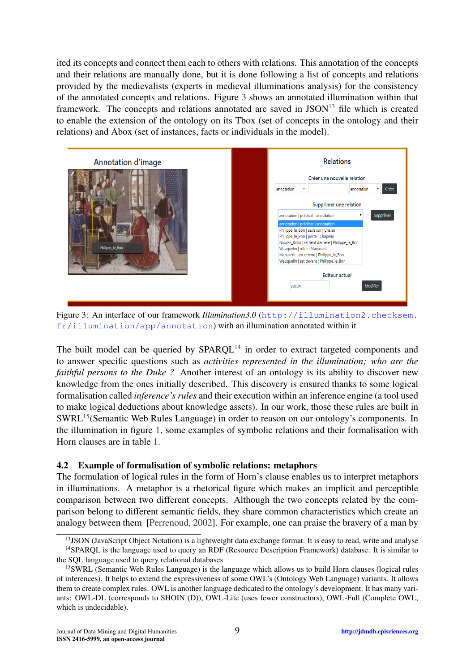ited its concepts and connect them each to others with relations. This annotation of the concepts and their relations are manually done, but it is done following a list of concepts and relations provided by the medievalists (experts in medieval illuminations analysis) for the consistency of the annotated concepts and relations. Figure [3](#page-8-0) shows an annotated illumination within that framework. The concepts and relations annotated are saved in  $\text{JSON}^{13}$  $\text{JSON}^{13}$  $\text{JSON}^{13}$  file which is created to enable the extension of the ontology on its Tbox (set of concepts in the ontology and their relations) and Abox (set of instances, facts or individuals in the model).

<span id="page-8-0"></span>

Figure 3: An interface of our framework *Illumination3.0* ([http://illumination2.checksem.](http://illumination2.checksem.fr/illumination/app/annotation) [fr/illumination/app/annotation](http://illumination2.checksem.fr/illumination/app/annotation)) with an illumination annotated within it

The built model can be queried by  $SPARCL<sup>14</sup>$  $SPARCL<sup>14</sup>$  $SPARCL<sup>14</sup>$  in order to extract targeted components and to answer specific questions such as *activities represented in the illumination; who are the faithful persons to the Duke ?* Another interest of an ontology is its ability to discover new knowledge from the ones initially described. This discovery is ensured thanks to some logical formalisation called *inference's rules* and their execution within an inference engine (a tool used to make logical deductions about knowledge assets). In our work, those these rules are built in SWRL<sup>[15](#page-8-3)</sup>(Semantic Web Rules Language) in order to reason on our ontology's components. In the illumination in figure [1,](#page-3-1) some examples of symbolic relations and their formalisation with Horn clauses are in table [1.](#page-9-0)

#### 4.2 Example of formalisation of symbolic relations: metaphors

The formulation of logical rules in the form of Horn's clause enables us to interpret metaphors in illuminations. A metaphor is a rhetorical figure which makes an implicit and perceptible comparison between two different concepts. Although the two concepts related by the comparison belong to different semantic fields, they share common characteristics which create an analogy between them [\[Perrenoud,](#page-11-10) [2002\]](#page-11-10). For example, one can praise the bravery of a man by

<span id="page-8-2"></span><span id="page-8-1"></span><sup>&</sup>lt;sup>13</sup>JSON (JavaScript Object Notation) is a lightweight data exchange format. It is easy to read, write and analyse <sup>14</sup>SPARQL is the language used to query an RDF (Resource Description Framework) database. It is similar to

the SQL language used to query relational databases

<span id="page-8-3"></span><sup>15</sup>SWRL (Semantic Web Rules Language) is the language which allows us to build Horn clauses (logical rules of inferences). It helps to extend the expressiveness of some OWL's (Ontology Web Language) variants. It allows them to create complex rules. OWL is another language dedicated to the ontology's development. It has many variants: OWL-DL (corresponds to SHOIN (D)), OWL-Lite (uses fewer constructors), OWL-Full (Complete OWL, which is undecidable).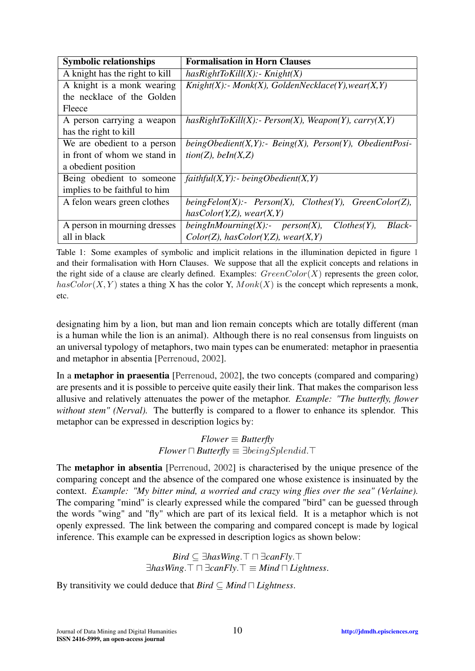<span id="page-9-0"></span>

| <b>Symbolic relationships</b>  | <b>Formalisation in Horn Clauses</b>                                 |
|--------------------------------|----------------------------------------------------------------------|
| A knight has the right to kill | $hasRightToKill(X)$ :- Knight(X)                                     |
| A knight is a monk wearing     | $Knight(X)$ :- Monk(X), GoldenNecklace(Y), wear(X,Y)                 |
| the necklace of the Golden     |                                                                      |
| Fleece                         |                                                                      |
| A person carrying a weapon     | $hasRightToKill(X):$ - Person(X), Weapon(Y), carry(X,Y)              |
| has the right to kill          |                                                                      |
| We are obedient to a person    | beingObedient $(X, Y)$ :- Being $(X)$ , Person $(Y)$ , ObedientPosi- |
| in front of whom we stand in   | tion(Z), beh(X,Z)                                                    |
| a obedient position            |                                                                      |
| Being obedient to someone      | $faithful(X, Y)$ :- beingObedient(X,Y)                               |
| implies to be faithful to him  |                                                                      |
| A felon wears green clothes    | $beingFelon(X)$ :- $Person(X)$ , Clothes(Y), GreenColor(Z),          |
|                                | hasColor(Y,Z), wear(X,Y)                                             |
| A person in mourning dresses   | beingInMourning $(X)$ :- person $(X)$ ,<br>$Clothes(Y)$ ,<br>Black-  |
| all in black                   | Color(Z), hasColor(Y,Z), wear(X,Y)                                   |

Table 1: Some examples of symbolic and implicit relations in the illumination depicted in figure [1](#page-3-1) and their formalisation with Horn Clauses. We suppose that all the explicit concepts and relations in the right side of a clause are clearly defined. Examples:  $GreenColor(X)$  represents the green color,  $hasColor(X, Y)$  states a thing X has the color Y,  $Monk(X)$  is the concept which represents a monk, etc.

designating him by a lion, but man and lion remain concepts which are totally different (man is a human while the lion is an animal). Although there is no real consensus from linguists on an universal typology of metaphors, two main types can be enumerated: metaphor in praesentia and metaphor in absentia [\[Perrenoud,](#page-11-10) [2002\]](#page-11-10).

In a **metaphor in praesentia** [\[Perrenoud,](#page-11-10) [2002\]](#page-11-10), the two concepts (compared and comparing) are presents and it is possible to perceive quite easily their link. That makes the comparison less allusive and relatively attenuates the power of the metaphor. *Example: "The butterfly, flower without stem" (Nerval).* The butterfly is compared to a flower to enhance its splendor. This metaphor can be expressed in description logics by:

> $Flower \equiv Butterfly$ *Flower*  $\Box$  *Butterfly*  $\equiv \exists being$

The metaphor in absentia [\[Perrenoud,](#page-11-10) [2002\]](#page-11-10) is characterised by the unique presence of the comparing concept and the absence of the compared one whose existence is insinuated by the context. *Example: "My bitter mind, a worried and crazy wing flies over the sea" (Verlaine).* The comparing "mind" is clearly expressed while the compared "bird" can be guessed through the words "wing" and "fly" which are part of its lexical field. It is a metaphor which is not openly expressed. The link between the comparing and compared concept is made by logical inference. This example can be expressed in description logics as shown below:

> *Bird* ⊆ ∃*hasWing*. $\top$   $\top$  ∃*canFly*. $\top$  $\exists$ *hasWing*. $\top \sqcap \exists$ *canFly*. $\top \equiv Mind \sqcap Lighness$ .

By transitivity we could deduce that  $Bird \subseteq Mind \sqcap Lighness$ .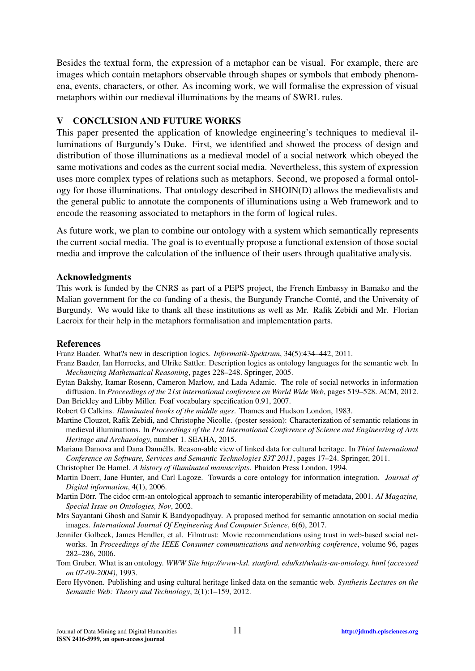Besides the textual form, the expression of a metaphor can be visual. For example, there are images which contain metaphors observable through shapes or symbols that embody phenomena, events, characters, or other. As incoming work, we will formalise the expression of visual metaphors within our medieval illuminations by the means of SWRL rules.

#### <span id="page-10-0"></span>V CONCLUSION AND FUTURE WORKS

This paper presented the application of knowledge engineering's techniques to medieval illuminations of Burgundy's Duke. First, we identified and showed the process of design and distribution of those illuminations as a medieval model of a social network which obeyed the same motivations and codes as the current social media. Nevertheless, this system of expression uses more complex types of relations such as metaphors. Second, we proposed a formal ontology for those illuminations. That ontology described in SHOIN(D) allows the medievalists and the general public to annotate the components of illuminations using a Web framework and to encode the reasoning associated to metaphors in the form of logical rules.

As future work, we plan to combine our ontology with a system which semantically represents the current social media. The goal is to eventually propose a functional extension of those social media and improve the calculation of the influence of their users through qualitative analysis.

#### Acknowledgments

This work is funded by the CNRS as part of a PEPS project, the French Embassy in Bamako and the Malian government for the co-funding of a thesis, the Burgundy Franche-Comté, and the University of Burgundy. We would like to thank all these institutions as well as Mr. Rafik Zebidi and Mr. Florian Lacroix for their help in the metaphors formalisation and implementation parts.

#### References

<span id="page-10-14"></span>Franz Baader. What?s new in description logics. *Informatik-Spektrum*, 34(5):434–442, 2011.

- <span id="page-10-13"></span>Franz Baader, Ian Horrocks, and Ulrike Sattler. Description logics as ontology languages for the semantic web. In *Mechanizing Mathematical Reasoning*, pages 228–248. Springer, 2005.
- <span id="page-10-1"></span>Eytan Bakshy, Itamar Rosenn, Cameron Marlow, and Lada Adamic. The role of social networks in information diffusion. In *Proceedings of the 21st international conference on World Wide Web*, pages 519–528. ACM, 2012. Dan Brickley and Libby Miller. Foaf vocabulary specification 0.91, 2007.

<span id="page-10-5"></span><span id="page-10-3"></span>Robert G Calkins. *Illuminated books of the middle ages*. Thames and Hudson London, 1983.

<span id="page-10-4"></span>Martine Clouzot, Rafik Zebidi, and Christophe Nicolle. (poster session): Characterization of semantic relations in medieval illuminations. In *Proceedings of the 1rst International Conference of Science and Engineering of Arts Heritage and Archaeology*, number 1. SEAHA, 2015.

<span id="page-10-9"></span>Mariana Damova and Dana Dannélls. Reason-able view of linked data for cultural heritage. In *Third International Conference on Software, Services and Semantic Technologies S3T 2011*, pages 17–24. Springer, 2011.

<span id="page-10-2"></span>Christopher De Hamel. *A history of illuminated manuscripts*. Phaidon Press London, 1994.

- <span id="page-10-8"></span>Martin Doerr, Jane Hunter, and Carl Lagoze. Towards a core ontology for information integration. *Journal of Digital information*, 4(1), 2006.
- <span id="page-10-7"></span>Martin Dörr. The cidoc crm-an ontological approach to semantic interoperability of metadata, 2001. *AI Magazine, Special Issue on Ontologies, Nov*, 2002.
- <span id="page-10-10"></span>Mrs Sayantani Ghosh and Samir K Bandyopadhyay. A proposed method for semantic annotation on social media images. *International Journal Of Engineering And Computer Science*, 6(6), 2017.
- <span id="page-10-6"></span>Jennifer Golbeck, James Hendler, et al. Filmtrust: Movie recommendations using trust in web-based social networks. In *Proceedings of the IEEE Consumer communications and networking conference*, volume 96, pages 282–286, 2006.
- <span id="page-10-12"></span>Tom Gruber. What is an ontology. *WWW Site http://www-ksl. stanford. edu/kst/whatis-an-ontology. html (accessed on 07-09-2004)*, 1993.
- <span id="page-10-11"></span>Eero Hyvönen. Publishing and using cultural heritage linked data on the semantic web. *Synthesis Lectures on the Semantic Web: Theory and Technology*, 2(1):1–159, 2012.